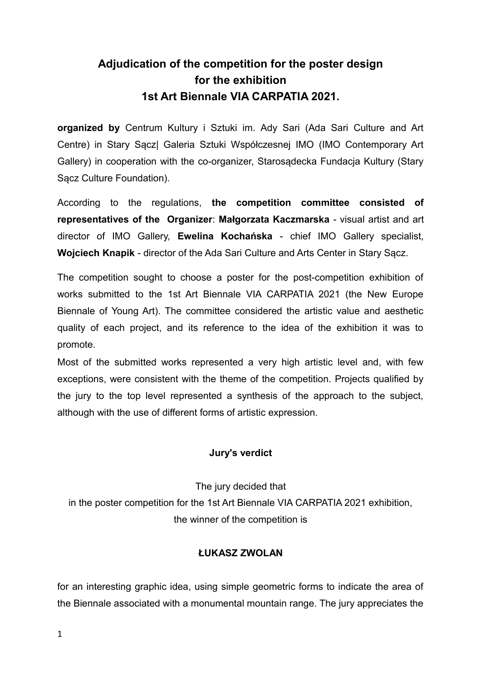## **Adjudication of the competition for the poster design for the exhibition 1st Art Biennale VIA CARPATIA 2021.**

**organized by** Centrum Kultury i Sztuki im. Ady Sari (Ada Sari Culture and Art Centre) in Stary Sącz| Galeria Sztuki Współczesnej IMO (IMO Contemporary Art Gallery) in cooperation with the co-organizer, Starosądecka Fundacja Kultury (Stary Sącz Culture Foundation).

According to the regulations, **the competition committee consisted of representatives of the Organizer**: **Małgorzata Kaczmarska** - visual artist and art director of IMO Gallery, **Ewelina Kochańska** - chief IMO Gallery specialist, **Wojciech Knapik** - director of the Ada Sari Culture and Arts Center in Stary Sącz.

The competition sought to choose a poster for the post-competition exhibition of works submitted to the 1st Art Biennale VIA CARPATIA 2021 (the New Europe Biennale of Young Art). The committee considered the artistic value and aesthetic quality of each project, and its reference to the idea of the exhibition it was to promote.

Most of the submitted works represented a very high artistic level and, with few exceptions, were consistent with the theme of the competition. Projects qualified by the jury to the top level represented a synthesis of the approach to the subject, although with the use of different forms of artistic expression.

## **Jury's verdict**

The jury decided that in the poster competition for the 1st Art Biennale VIA CARPATIA 2021 exhibition, the winner of the competition is

## **ŁUKASZ ZWOLAN**

for an interesting graphic idea, using simple geometric forms to indicate the area of the Biennale associated with a monumental mountain range. The jury appreciates the